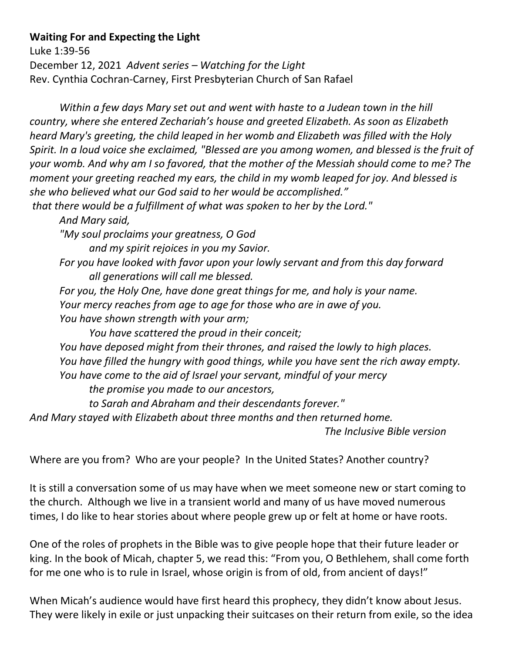## **Waiting For and Expecting the Light**

Luke 1:39-56 December 12, 2021 *Advent series – Watching for the Light* Rev. Cynthia Cochran-Carney, First Presbyterian Church of San Rafael

*Within a few days Mary set out and went with haste to a Judean town in the hill country, where she entered Zechariah's house and greeted Elizabeth. As soon as Elizabeth heard Mary's greeting, the child leaped in her womb and Elizabeth was filled with the Holy Spirit. In a loud voice she exclaimed, "Blessed are you among women, and blessed is the fruit of your womb. And why am I so favored, that the mother of the Messiah should come to me? The moment your greeting reached my ears, the child in my womb leaped for joy. And blessed is she who believed what our God said to her would be accomplished."*

*that there would be a fulfillment of what was spoken to her by the Lord."*

*And Mary said,* 

*"My soul proclaims your greatness, O God*

*and my spirit rejoices in you my Savior.*

- *For you have looked with favor upon your lowly servant and from this day forward all generations will call me blessed.*
- *For you, the Holy One, have done great things for me, and holy is your name.*

*Your mercy reaches from age to age for those who are in awe of you.* 

*You have shown strength with your arm;* 

*You have scattered the proud in their conceit;*

*You have deposed might from their thrones, and raised the lowly to high places. You have filled the hungry with good things, while you have sent the rich away empty. You have come to the aid of Israel your servant, mindful of your mercy the promise you made to our ancestors,* 

*to Sarah and Abraham and their descendants forever."*

*And Mary stayed with Elizabeth about three months and then returned home.*

 *The Inclusive Bible version*

Where are you from? Who are your people? In the United States? Another country?

It is still a conversation some of us may have when we meet someone new or start coming to the church. Although we live in a transient world and many of us have moved numerous times, I do like to hear stories about where people grew up or felt at home or have roots.

One of the roles of prophets in the Bible was to give people hope that their future leader or king. In the book of Micah, chapter 5, we read this: "From you, O Bethlehem, shall come forth for me one who is to rule in Israel, whose origin is from of old, from ancient of days!"

When Micah's audience would have first heard this prophecy, they didn't know about Jesus. They were likely in exile or just unpacking their suitcases on their return from exile, so the idea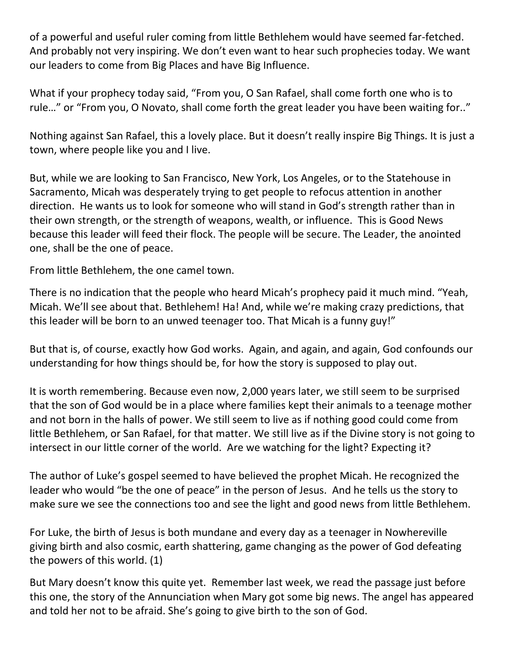of a powerful and useful ruler coming from little Bethlehem would have seemed far-fetched. And probably not very inspiring. We don't even want to hear such prophecies today. We want our leaders to come from Big Places and have Big Influence.

What if your prophecy today said, "From you, O San Rafael, shall come forth one who is to rule…" or "From you, O Novato, shall come forth the great leader you have been waiting for.."

Nothing against San Rafael, this a lovely place. But it doesn't really inspire Big Things. It is just a town, where people like you and I live.

But, while we are looking to San Francisco, New York, Los Angeles, or to the Statehouse in Sacramento, Micah was desperately trying to get people to refocus attention in another direction. He wants us to look for someone who will stand in God's strength rather than in their own strength, or the strength of weapons, wealth, or influence. This is Good News because this leader will feed their flock. The people will be secure. The Leader, the anointed one, shall be the one of peace.

From little Bethlehem, the one camel town.

There is no indication that the people who heard Micah's prophecy paid it much mind. "Yeah, Micah. We'll see about that. Bethlehem! Ha! And, while we're making crazy predictions, that this leader will be born to an unwed teenager too. That Micah is a funny guy!"

But that is, of course, exactly how God works. Again, and again, and again, God confounds our understanding for how things should be, for how the story is supposed to play out.

It is worth remembering. Because even now, 2,000 years later, we still seem to be surprised that the son of God would be in a place where families kept their animals to a teenage mother and not born in the halls of power. We still seem to live as if nothing good could come from little Bethlehem, or San Rafael, for that matter. We still live as if the Divine story is not going to intersect in our little corner of the world. Are we watching for the light? Expecting it?

The author of Luke's gospel seemed to have believed the prophet Micah. He recognized the leader who would "be the one of peace" in the person of Jesus. And he tells us the story to make sure we see the connections too and see the light and good news from little Bethlehem.

For Luke, the birth of Jesus is both mundane and every day as a teenager in Nowhereville giving birth and also cosmic, earth shattering, game changing as the power of God defeating the powers of this world. (1)

But Mary doesn't know this quite yet. Remember last week, we read the passage just before this one, the story of the Annunciation when Mary got some big news. The angel has appeared and told her not to be afraid. She's going to give birth to the son of God.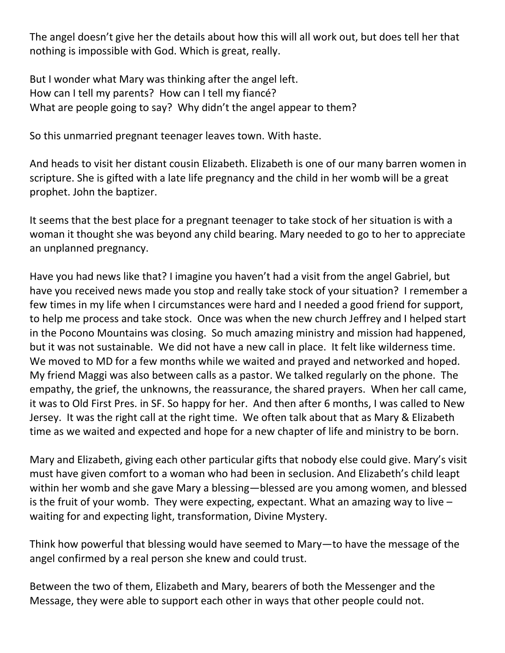The angel doesn't give her the details about how this will all work out, but does tell her that nothing is impossible with God. Which is great, really.

But I wonder what Mary was thinking after the angel left. How can I tell my parents? How can I tell my fiancé? What are people going to say? Why didn't the angel appear to them?

So this unmarried pregnant teenager leaves town. With haste.

And heads to visit her distant cousin Elizabeth. Elizabeth is one of our many barren women in scripture. She is gifted with a late life pregnancy and the child in her womb will be a great prophet. John the baptizer.

It seems that the best place for a pregnant teenager to take stock of her situation is with a woman it thought she was beyond any child bearing. Mary needed to go to her to appreciate an unplanned pregnancy.

Have you had news like that? I imagine you haven't had a visit from the angel Gabriel, but have you received news made you stop and really take stock of your situation? I remember a few times in my life when I circumstances were hard and I needed a good friend for support, to help me process and take stock. Once was when the new church Jeffrey and I helped start in the Pocono Mountains was closing. So much amazing ministry and mission had happened, but it was not sustainable. We did not have a new call in place. It felt like wilderness time. We moved to MD for a few months while we waited and prayed and networked and hoped. My friend Maggi was also between calls as a pastor. We talked regularly on the phone. The empathy, the grief, the unknowns, the reassurance, the shared prayers. When her call came, it was to Old First Pres. in SF. So happy for her. And then after 6 months, I was called to New Jersey. It was the right call at the right time. We often talk about that as Mary & Elizabeth time as we waited and expected and hope for a new chapter of life and ministry to be born.

Mary and Elizabeth, giving each other particular gifts that nobody else could give. Mary's visit must have given comfort to a woman who had been in seclusion. And Elizabeth's child leapt within her womb and she gave Mary a blessing—blessed are you among women, and blessed is the fruit of your womb. They were expecting, expectant. What an amazing way to live  $$ waiting for and expecting light, transformation, Divine Mystery.

Think how powerful that blessing would have seemed to Mary—to have the message of the angel confirmed by a real person she knew and could trust.

Between the two of them, Elizabeth and Mary, bearers of both the Messenger and the Message, they were able to support each other in ways that other people could not.